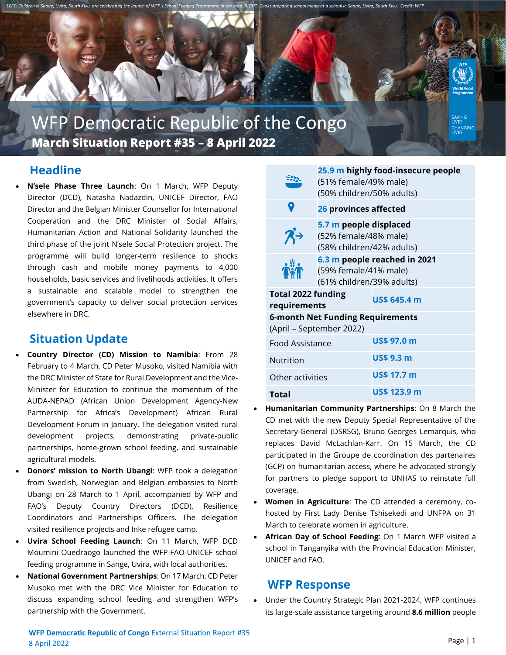

# WFP Democratic Republic of the Congo **March Situation Report #35 – 8 April 2022**

# **Headline**

• **N'sele Phase Three Launch**: On 1 March, WFP Deputy Director (DCD), Natasha Nadazdin, UNICEF Director, FAO Director and the Belgian Minister Counsellor for International Cooperation and the DRC Minister of Social Affairs, Humanitarian Action and National Solidarity launched the third phase of the joint N'sele Social Protection project. The programme will build longer-term resilience to shocks through cash and mobile money payments to 4,000 households, basic services and livelihoods activities. It offers a sustainable and scalable model to strengthen the government's capacity to deliver social protection services elsewhere in DRC.

# **Situation Update**

- **Country Director (CD) Mission to Namibia**: From 28 February to 4 March, CD Peter Musoko, visited Namibia with the DRC Minister of State for Rural Development and the Vice-Minister for Education to continue the momentum of the AUDA-NEPAD (African Union Development Agency-New Partnership for Africa's Development) African Rural Development Forum in January. The delegation visited rural development projects, demonstrating private-public partnerships, home-grown school feeding, and sustainable agricultural models.
- **Donors' mission to North Ubangi**: WFP took a delegation from Swedish, Norwegian and Belgian embassies to North Ubangi on 28 March to 1 April, accompanied by WFP and FAO's Deputy Country Directors (DCD), Resilience Coordinators and Partnerships Officers. The delegation visited resilience projects and Inke refugee camp.
- **Uvira School Feeding Launch**: On 11 March, WFP DCD Moumini Ouedraogo launched the WFP-FAO-UNICEF school feeding programme in Sange, Uvira, with local authorities.
- **National Government Partnerships**: On 17 March, CD Peter Musoko met with the DRC Vice Minister for Education to discuss expanding school feeding and strengthen WFP's partnership with the Government.

| (51% female/49% male)<br>(50% children/50% adults)                                 | 25.9 m highly food-insecure people |
|------------------------------------------------------------------------------------|------------------------------------|
| 26 provinces affected                                                              |                                    |
| 5.7 m people displaced<br>(52% female/48% male)<br>(58% children/42% adults)       |                                    |
| 6.3 m people reached in 2021<br>(59% female/41% male)<br>(61% children/39% adults) |                                    |
| <b>Total 2022 funding</b><br>requirements                                          | <b>US\$ 645.4 m</b>                |
| 6-month Net Funding Requirements<br>(April – September 2022)                       |                                    |
| <b>Food Assistance</b>                                                             | US\$ 97.0 m                        |
|                                                                                    | <b>US\$ 9.3 m</b>                  |
| Other activities                                                                   | US\$ 17.7 m                        |
|                                                                                    | <b>US\$ 123.9 m</b>                |
|                                                                                    |                                    |

- **Humanitarian Community Partnerships**: On 8 March the CD met with the new Deputy Special Representative of the Secretary-General (DSRSG), Bruno Georges Lemarquis, who replaces David McLachlan-Karr. On 15 March, the CD participated in the Groupe de coordination des partenaires (GCP) on humanitarian access, where he advocated strongly for partners to pledge support to UNHAS to reinstate full coverage.
- **Women in Agriculture**: The CD attended a ceremony, cohosted by First Lady Denise Tshisekedi and UNFPA on 31 March to celebrate women in agriculture.
- **African Day of School Feeding**: On 1 March WFP visited a school in Tanganyika with the Provincial Education Minister, UNICEF and FAO.

## **WFP Response**

• Under the Country Strategic Plan 2021-2024, WFP continues its large-scale assistance targeting around **8.6 million** people

CHANGING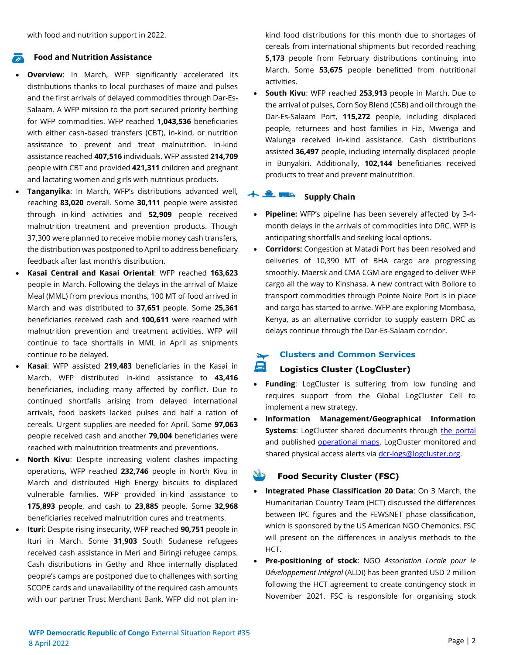with food and nutrition support in 2022.

### **Food and Nutrition Assistance**

- **Overview**: In March, WFP significantly accelerated its distributions thanks to local purchases of maize and pulses and the first arrivals of delayed commodities through Dar-Es-Salaam. A WFP mission to the port secured priority berthing for WFP commodities. WFP reached **1,043,536** beneficiaries with either cash-based transfers (CBT), in-kind, or nutrition assistance to prevent and treat malnutrition. In-kind assistance reached **407,516** individuals. WFP assisted **214,709** people with CBT and provided **421,311** children and pregnant and lactating women and girls with nutritious products.
- **Tanganyika**: In March, WFP's distributions advanced well, reaching **83,020** overall. Some **30,111** people were assisted through in-kind activities and **52,909** people received malnutrition treatment and prevention products. Though 37,300 were planned to receive mobile money cash transfers, the distribution was postponed to April to address beneficiary feedback after last month's distribution.
- **Kasai Central and Kasai Oriental**: WFP reached **163,623** people in March. Following the delays in the arrival of Maize Meal (MML) from previous months, 100 MT of food arrived in March and was distributed to **37,651** people. Some **25,361** beneficiaries received cash and **100,611** were reached with malnutrition prevention and treatment activities. WFP will continue to face shortfalls in MML in April as shipments continue to be delayed.
- **Kasai**: WFP assisted **219,483** beneficiaries in the Kasai in March. WFP distributed in-kind assistance to **43,416** beneficiaries, including many affected by conflict. Due to continued shortfalls arising from delayed international arrivals, food baskets lacked pulses and half a ration of cereals. Urgent supplies are needed for April. Some **97,063** people received cash and another **79,004** beneficiaries were reached with malnutrition treatments and preventions.
- **North Kivu**: Despite increasing violent clashes impacting operations, WFP reached **232,746** people in North Kivu in March and distributed High Energy biscuits to displaced vulnerable families. WFP provided in-kind assistance to **175,893** people, and cash to **23,885** people. Some **32,968** beneficiaries received malnutrition cures and treatments.
- **Ituri**: Despite rising insecurity, WFP reached **90,751** people in Ituri in March. Some **31,903** South Sudanese refugees received cash assistance in Meri and Biringi refugee camps. Cash distributions in Gethy and Rhoe internally displaced people's camps are postponed due to challenges with sorting SCOPE cards and unavailability of the required cash amounts with our partner Trust Merchant Bank. WFP did not plan in-

kind food distributions for this month due to shortages of cereals from international shipments but recorded reaching **5,173** people from February distributions continuing into March. Some **53,675** people benefitted from nutritional activities.

• **South Kivu**: WFP reached **253,913** people in March. Due to the arrival of pulses, Corn Soy Blend (CSB) and oil through the Dar-Es-Salaam Port, **115,272** people, including displaced people, returnees and host families in Fizi, Mwenga and Walunga received in-kind assistance. Cash distributions assisted **36,497** people, including internally displaced people in Bunyakiri. Additionally, **102,144** beneficiaries received products to treat and prevent malnutrition.

#### $+ 2.74$ **Supply Chain**

- **Pipeline:** WFP's pipeline has been severely affected by 3-4 month delays in the arrivals of commodities into DRC. WFP is anticipating shortfalls and seeking local options.
- **Corridors:** Congestion at Matadi Port has been resolved and deliveries of 10,390 MT of BHA cargo are progressing smoothly. Maersk and CMA CGM are engaged to deliver WFP cargo all the way to Kinshasa. A new contract with Bollore to transport commodities through Pointe Noire Port is in place and cargo has started to arrive. WFP are exploring Mombasa, Kenya, as an alternative corridor to supply eastern DRC as delays continue through the Dar-Es-Salaam corridor.

#### **Clusters and Common Services**  $\overline{\phantom{0}}$

### **Logistics Cluster (LogCluster)**

- **Funding:** LogCluster is suffering from low funding and requires support from the Global LogCluster Cell to implement a new strategy.
- **Information Management/Geographical Information Systems**: LogCluster shared documents through [the portal](https://logcluster.org/ops/drc) and published [operational maps.](https://logcluster.org/ops/drc) LogCluster monitored and shared physical access alerts via [dcr-logs@logcluster.org.](mailto:dcr-logs@logcluster.org)

### **Food Security Cluster (FSC)**

- **Integrated Phase Classification 20 Data**: On 3 March, the Humanitarian Country Team (HCT) discussed the differences between IPC figures and the FEWSNET phase classification, which is sponsored by the US American NGO Chemonics. FSC will present on the differences in analysis methods to the HCT.
- **Pre-positioning of stock**: NGO *Association Locale pour le Développement Intégral* (ALDI) has been granted USD 2 million following the HCT agreement to create contingency stock in November 2021. FSC is responsible for organising stock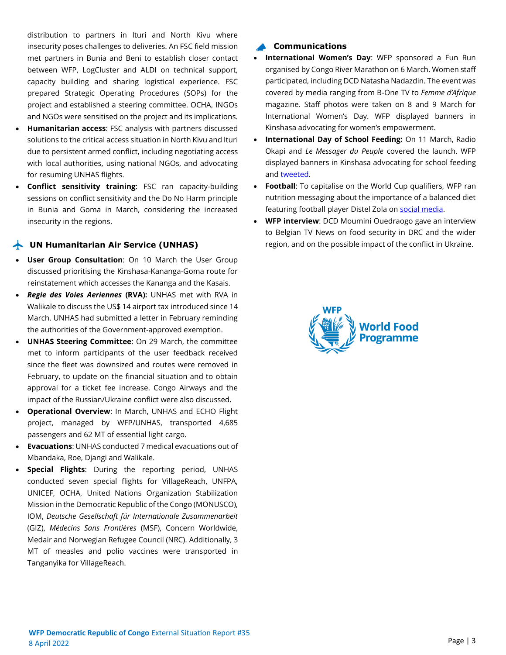distribution to partners in Ituri and North Kivu where insecurity poses challenges to deliveries. An FSC field mission met partners in Bunia and Beni to establish closer contact between WFP, LogCluster and ALDI on technical support, capacity building and sharing logistical experience. FSC prepared Strategic Operating Procedures (SOPs) for the project and established a steering committee. OCHA, INGOs and NGOs were sensitised on the project and its implications.

- **Humanitarian access**: FSC analysis with partners discussed solutions to the critical access situation in North Kivu and Ituri due to persistent armed conflict, including negotiating access with local authorities, using national NGOs, and advocating for resuming UNHAS flights.
- **Conflict sensitivity training**: FSC ran capacity-building sessions on conflict sensitivity and the Do No Harm principle in Bunia and Goma in March, considering the increased insecurity in the regions.

### **UN Humanitarian Air Service (UNHAS)**

- **User Group Consultation**: On 10 March the User Group discussed prioritising the Kinshasa-Kananga-Goma route for reinstatement which accesses the Kananga and the Kasais.
- *Regie des Voies Aeriennes* **(RVA):** UNHAS met with RVA in Walikale to discuss the US\$ 14 airport tax introduced since 14 March. UNHAS had submitted a letter in February reminding the authorities of the Government-approved exemption.
- **UNHAS Steering Committee**: On 29 March, the committee met to inform participants of the user feedback received since the fleet was downsized and routes were removed in February, to update on the financial situation and to obtain approval for a ticket fee increase. Congo Airways and the impact of the Russian/Ukraine conflict were also discussed.
- **Operational Overview**: In March, UNHAS and ECHO Flight project, managed by WFP/UNHAS, transported 4,685 passengers and 62 MT of essential light cargo.
- **Evacuations**: UNHAS conducted 7 medical evacuations out of Mbandaka, Roe, Djangi and Walikale.
- **Special Flights**: During the reporting period, UNHAS conducted seven special flights for VillageReach, UNFPA, UNICEF, OCHA, United Nations Organization Stabilization Mission in the Democratic Republic of the Congo (MONUSCO), IOM, *Deutsche Gesellschaft für Internationale Zusammenarbeit* (GIZ), *Médecins Sans Frontières* (MSF), Concern Worldwide, Medair and Norwegian Refugee Council (NRC). Additionally, 3 MT of measles and polio vaccines were transported in Tanganyika for VillageReach.

### **Communications**

- **International Women's Day**: WFP sponsored a Fun Run organised by Congo River Marathon on 6 March. Women staff participated, including DCD Natasha Nadazdin. The event was covered by media ranging from B-One TV to *Femme d'Afrique* magazine. Staff photos were taken on 8 and 9 March for International Women's Day. WFP displayed banners in Kinshasa advocating for women's empowerment.
- **International Day of School Feeding:** On 11 March, Radio Okapi and *Le Messager du Peuple* covered the launch. WFP displayed banners in Kinshasa advocating for school feeding an[d tweeted.](https://twitter.com/WFPDRC/status/1501964921172541445)
- **Football**: To capitalise on the World Cup qualifiers, WFP ran nutrition messaging about the importance of a balanced diet featuring football player Distel Zola on [social media.](https://twitter.com/WFPDRC/status/1507101984318533640)
- **WFP interview**: DCD Moumini Ouedraogo gave an interview to Belgian TV News on food security in DRC and the wider region, and on the possible impact of the conflict in Ukraine.